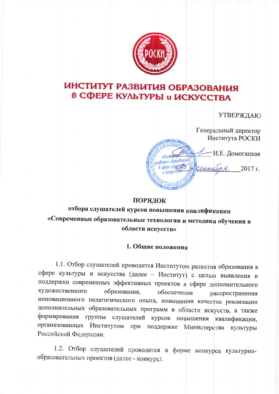

## ИНСТИТУТ РАЗВИТИЯ ОБРАЗОВАНИЯ В СФЕРЕ КУЛЬТУРЫ и ИСКУССТВА

**УТВЕРЖДАЮ** 

Генеральный директор Института РОСКИ И.Е. Домоганкая я образовани cent 2017 г.

## ПОРЯДОК

отбора слушателей курсов повышения квалификации «Современные образовательные технологии и методики обучения в области искусств»

1. Общие положения

1.1. Отбор слушателей проводится Институтом развития образования в сфере культуры и искусства (далее - Институт) с целью выявления и поддержки современных эффективных проектов в сфере дополнительного художественного образования, обеспечения распространения инновационного педагогического опыта, повышения качества реализации дополнительных образовательных программ в области искусств, а также формирования группы слушателей курсов повышения квалификации, организованных Институтом при поддержке Министерства культуры Российской Федерации.

1.2. Отбор слушателей проводится в форме конкурса культурнообразовательных проектов (далее - конкурс).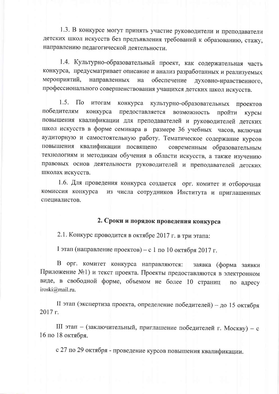1.3. В конкурсе могут принять участие руководители и преподаватели детских школ искусств без предъявления требований к образованию, стажу, направлению педагогической деятельности.

1.4. Культурно-образовательный проект, как содержательная часть конкурса, предусматривает описание и анализ разработанных и реализуемых мероприятий, направленных на обеспечение духовно-нравственного. профессионального совершенствования учащихся детских школ искусств.

 $1.5.$  $\Pi$ <sub>o</sub> итогам конкурса культурно-образовательных проектов победителям конкурса предоставляется возможность пройти курсы повышения квалификации для преподавателей и руководителей детских школ искусств в форме семинара в размере 36 учебных часов, включая аудиторную и самостоятельную работу. Тематическое содержание курсов повышения квалификации посвящено современным образовательным технологиям и методикам обучения в области искусств, а также изучению правовых основ деятельности руководителей и преподавателей детских школах искусств.

1.6. Для проведения конкурса создается орг. комитет и отборочная комиссия конкурса из числа сотрудников Института и приглашенных специалистов.

## 2. Сроки и порядок проведения конкурса

2.1. Конкурс проводится в октябре 2017 г. в три этапа:

І этап (направление проектов) - с 1 по 10 октября 2017 г.

В орг. комитет конкурса направляются: заявка (форма заявки Приложение №1) и текст проекта. Проекты предоставляются в электронном виде, в свободной форме, объемом не более 10 страниц по адресу iroski@mail.ru.

II этап (экспертиза проекта, определение победителей) - до 15 октября 2017 г.

III этап - (заключительный, приглашение победителей г. Москву) - с 16 по 18 октября.

с 27 по 29 октября - проведение курсов повышения квалификации.